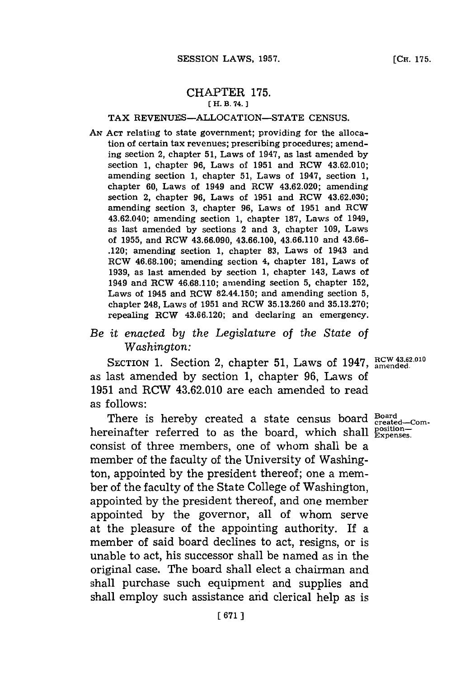## CHAPTER **175. [ H. B. 74. 1**

## TAX **REVENUES-ALLOCATION-STATE CENSUS.**

**AN ACT** relating to state government; providing for the allocation of certain tax revenues; prescribing procedures; amending section 2, chapter **51,** Laws of 1947, as last amended **by** section **1,** chapter **96,** Laws of **1951** and RCW 43.62.010; amending section **1,** chapter **51,** Laws of 1947, section **1,** chapter **60,** Laws of 1949 and RCW 43.62.020; amending section 2, chapter **96,** Laws of **1951** and RCW 43.62.030; amending section **3,** chapter **96,** Laws of **1951** and RCW 43.62.040; amending section **1,** chapter **187,** Laws of 1949, as last amended **by** sections 2 and **3,** chapter **109,** Laws of **1955,** and RCW **43.66.090, 43.66.100, 43.66.110** and **43.66-** .120; amending section **1,** chapter **83,** Laws of 1943 and RCW **46.68.100;** amending section 4, chapter **181,** Laws of **1939,** as last amended **by** section **1,** chapter 143, Laws of 1949 and RCW **46.68.110;** amending section **5,** chapter **152,** Laws of 1945 and RCW 82.44.150; and amending section **5,** chapter 248, Laws of **1951** and RCW **35.13.260** and **35.13.270;** repealing RCW **43.66.120;** and declaring an emergency.

## *Be it enacted by the Legislature of the State* of *Washington:*

SECTION 1. Section 2, chapter 51, Laws of 1947, RCW 43.62.010 as last amended **by** section **1,** chapter **96,** Laws of **1951** and RCW 43.62.010 are each amended to read as **f** ollows:

There is hereby created a state census board **Board** created-comhereinafter referred to as the board, which shall  $_{\text{Expenses.}}^{\text{position--}}$ consist of three members, one of whom shall be a member of the faculty of the University of Washington, appointed **by** the president thereof; one a member of the faculty of the State College of Washington, appointed **by** the president thereof, and one member appointed **by** the governor, all of whom serve at the pleasure of the appointing authority. If a member of said board declines to act, resigns, or is unable to act, his successor shall be named as in the original case. The board shall elect a chairman and shall purchase such equipment and supplies and shall employ such assistance and clerical help as is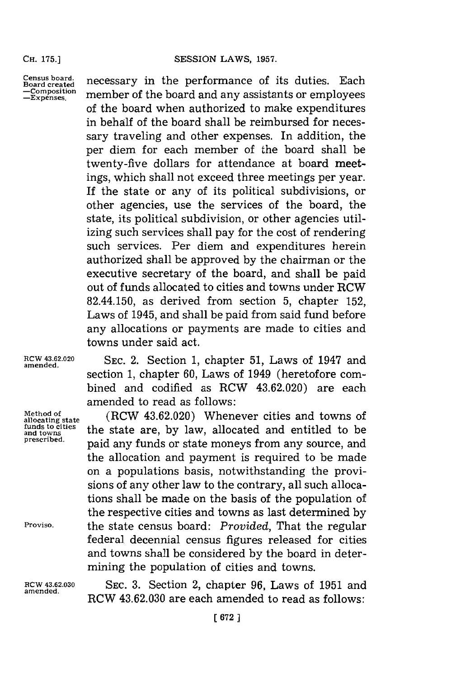**CH. 175.]**

**Census board. Board created -Composition -Expenses.**

necessary in the performance of its duties. Each member of the board and any assistants or employees of the board when authorized to make expenditures in behalf of the board shall be reimbursed **for** necessary traveling and other expenses. In addition, the per diem for each member of the board shall be twenty-five dollars for attendance at board meetings, which shall not exceed three meetings per year. If the state or any of its political subdivisions, or other agencies, use the services of the board, the state, its political subdivision, or other agencies utilizing such services shall pay for the cost of rendering such services. Per diem and expenditures herein authorized shall be approved **by** the chairman or the executive secretary of the board, and shall be paid out of funds allocated to cities and towns under RCW 82.44.150, as derived from section **5,** chapter **152,** Laws of 1945, and shall be paid from said fund before any allocations or payments are made to cities and towns under said act.

**amended.**

**RCW 43.62.020 SEC.** 2. Section **1,** chapter **51,** Laws of 1947 and **amended.** section **1,** chapter **60,** Laws of 1949 (heretofore combined and codified as RCW 43.62.020) are each amended to read as follows:

Method of **(RCW 43.62.020)** Whenever cities and towns of allocating state  $\frac{1}{2}$  (RCW 43.62.020) Whenever cities and towns of allocating state<br> **funds to cities**<br>
and towns intervals and entitled to <sub>and towns</sub> and the state are, by law, and calculated and entitled to be prescribed.<br>paid any funds or state moneys from any source, and the allocation and payment is required to be made on a populations basis, notwithstanding the provisions of any other law to the contrary, all such allocations shall be made on the basis of the population of the respective cities and towns as last determined **by Proviso,** the state census board: *Provided,* That the regular federal decennial census figures released for cities and towns shall be considered **by** the board in determining the population of cities and towns.

**11GW 43.62.030 SEC. 3.** Section 2, chapter **96,** Laws of **1951** and RCW 43.62.030 are each amended to read as follows: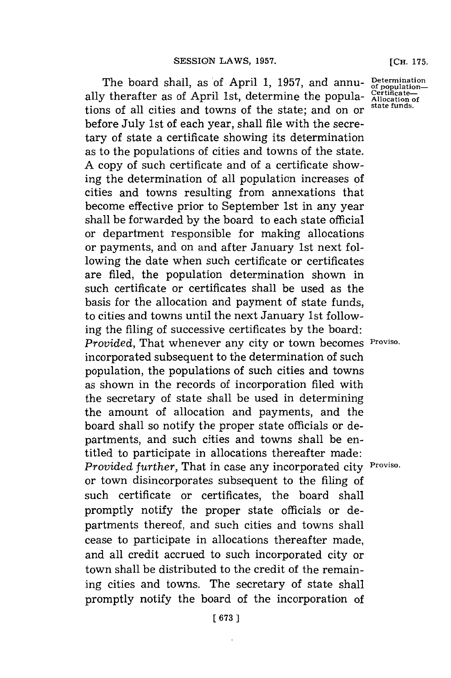The board shall, as of April 1, 1957, and annu- Determinationally therafter as of April 1st, determine the popula- Certificate tions of all cities and towns of the state; and on or before July 1st of each year, shall file with the secretary of state a certificate showing its determination as to the populations of cities and towns of the state. **A** copy of such certificate and of a certificate showing the determination of all population increases of cities and towns resulting from annexations that become effective prior to September 1st in any year shall be forwarded **by** the board to each state official or department responsible for making allocations or payments, and on and after January 1st next following the date when such certificate or certificates are filed, the population determination shown in such certificate or certificates shall be used as the basis for the allocation and payment of state funds, to cities and towns until the next January 1st following the filing of successive certificates **by** the board: *Provided,* That whenever any city or town becomes **Proviso.** incorporated subsequent to the determination of such population, the populations of such cities and towns as shown in the records of incorporation filed with the secretary of state shall be used in determining the amount of allocation and payments, and the board shall so notify the proper state officials or departments, and such cities and towns shall be entitled to participate in allocations thereafter made: *Provided further,* That in case any incorporated city **Proviso.** or town disincorporates subsequent to the filing of such certificate or certificates, the board shall promptly notify the proper state officials or departments thereof, and such cities and towns shall cease to participate in allocations thereafter made, and all credit accrued to such incorporated city or town shall be distributed to the credit of the remaining cities and towns. The secretary of state shall promptly notify the board of the incorporation of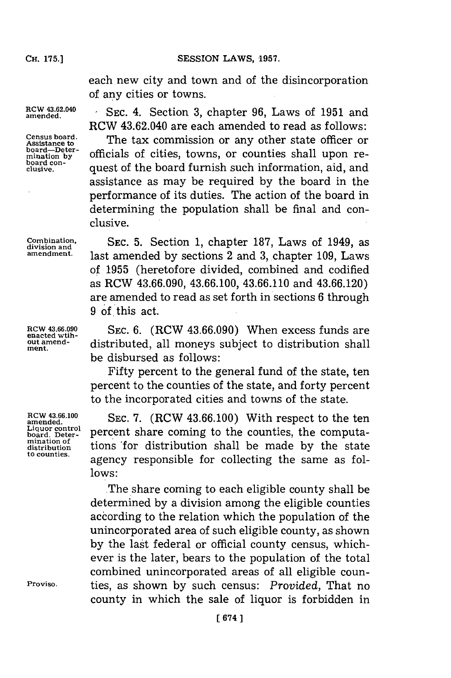**SESSION LAWS, 1957.** 

each new city and town and of the disincorporation of any cities or towns.

RCW 43.62.040 are each amended to read as follows:

RCW 43.62.040 SEC. 4. Section 3, chapter 96, Laws of 1951 and

**Census board. board-Deter-**<br>mination by **board con-**

J.

**ROW 43.66.090 enacted wtihout amendment.**

**RCW 43.66.100 amended. Liquor control board. Deter-mination of distribution to counties.**

**Proviso.**

The tax commission or any other state officer or officials of cities, towns, or counties shall upon re**clusive,** quest of the board furnish such information, aid, and assistance as may be required **by** the board in the performance of its duties. The action of the board in determining the population shall be final and conclusive.

**Combination,** SEC. 5. Section 1, chapter 187, Laws of 1949, as division and  $\frac{1049}{1000}$  and  $\frac{1000}{1000}$  and  $\frac{1000}{1000}$  and  $\frac{1000}{100}$  and  $\frac{1000}{100}$  and  $\frac{1000}{100}$  and  $\frac{1000}{100}$  and  $\frac{1000}{$ last amended by sections 2 and 3, chapter 109, Laws of **1955** (heretofore divided, combined and codified as RCW **43.66.090, 43.66.100, 43.66.110** and **43.66.120)** are amended to read as set forth in sections **6** through **9 of.** this act.

> **SEC. 6.** (RCW **43.66.090)** When excess funds are distributed, all moneys subject to distribution shall be disbursed as follows:

> Fifty percent to the general fund of the state, ten percent to the counties of the state, and forty percent to the incorporated cities and towns of the state.

> **SEC. 7.** (RCW **43.66.100)** With respect to the ten percent share coming to the counties, the computations 'for distribution shall be made **by** the state agency responsible for collecting the same as fol**lows:**

> The share coming to each eligible county shall be determined **by** a division among the eligible counties according to the relation which the population of the unincorporated area of such eligible county, as shown **by** the last federal or official county census, whichever is the later, bears to the population of the total combined unincorporated areas of all eligible counties, as shown **by** such census: *Provided,* That no county in which the sale of liquor is forbidden in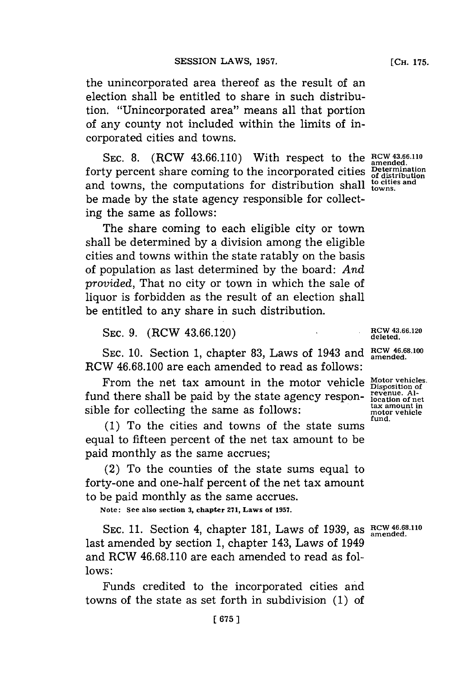the unincorporated area thereof as the result of an election shall be entitled to share in such distribution. "Unincorporated area" means all that portion of any county not included within the limits of incorporated cities and towns.

SEC. 8. (RCW 43.66.110) With respect to the RCW 43.66.110 forty percent share coming to the incorporated cities **Determination of distribution** and towns, the computations for distribution shall to cities and be made **by** the state agency responsible for collecting the same as follows:

The share coming to each eligible city or town shall be determined **by a** division among the eligible cities and towns within the state ratably on the basis of population as last determined **by** the board: *And provided,* That no city or town in which the sale of liquor is forbidden as the result of an election shall be entitled to any share in such distribution.

**SEC. 9.** (RCW **43.66.120)**

SEC. 10. Section 1, chapter 83, Laws of 1943 and  $\frac{RCW}{amended}$ . RCW **46.68.100** are each amended to read as follows:

From the net tax amount in the motor vehicle Motor vehicles fund there shall be paid **by** the state agency responsible for collecting the same as follows:

**(1)** To the cities and towns of the state sums equal to fifteen percent of the net tax amount to be paid monthly as the same accrues;

(2) To the counties of the state sums equal to forty-one and one-half percent of the net tax amount to be paid monthly as the same accrues.

**Note: See also section 3, chapter 271, Laws of 1957.**

**SEC. 11.** Section 4, chapter **181,** Laws of **1939,** as **RCW 46 68.1l0 amended.** last amended **by** section **1,** chapter 143, Laws of 1949 and RCW **46.68.110** are each amended to read as fol**lows:**

Funds credited to the incorporated cities and towns of the state as set forth in subdivision **(1)** of

**amended.**

**RCW 43.66.120 deleted.**

**Disposition of revenue. Al-location of net tax amount in motor vehicle fund.**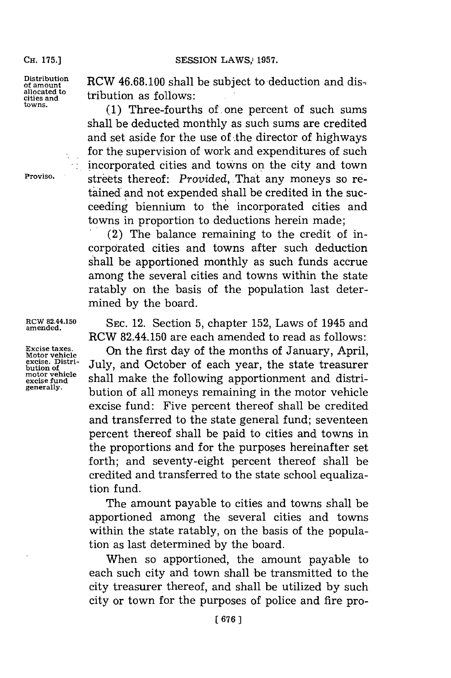**CH. 175.]**

**Distribution of amount allocated to cities and towns.**

**Proviso.**

**RCW 82.44.150 amended.**

**Excise taxes. Motor vehicle excise. Distribution of motor vehicle excise fund generally.**

RCW 46.68.100 shall be subject to deduction and distribution as follows:

(1) Three-fourths of one percent of such sums shall be deducted monthly as such sums are credited and set aside for the use of .the director of highways for the supervision of work and expenditures of such incorporated cities and towns on the city and town streets thereof: *Provided*, That any moneys so retained and not expended shall be credited in the succeeding biennium to the incorporated cities and towns in proportion to deductions herein made;

(2) The balance remaining to the credit of incorporated cities and towns after such deduction shall be apportioned monthly as such funds accrue among the several cities and towns within the state ratably on the basis of the population last determined **by** the board.

**SEC.** 12. Section **5,** chapter **152,** Laws of 1945 and RCW 82.44.150 are each amended to read as follows:

On the first day of the months of January, April, July, and October of each year, the state treasurer shall make the following apportionment and distribution of all moneys remaining in the motor vehicle excise fund: Five percent thereof shall be credited and transferred to the state general fund; seventeen percent thereof shall be paid to cities and towns in the proportions and for the purposes hereinafter set forth; and seventy-eight percent thereof shall be credited and transferred to the state school equalization fund.

The amount payable to cities and towns shall be apportioned among the several cities and towns within the state ratably, on the basis of the population as last determined **by** the board.

When so apportioned, the amount payable to each such city and town shall be transmitted to the city treasurer thereof, and shall be utilized **by** such city or town for the purposes of police and fire pro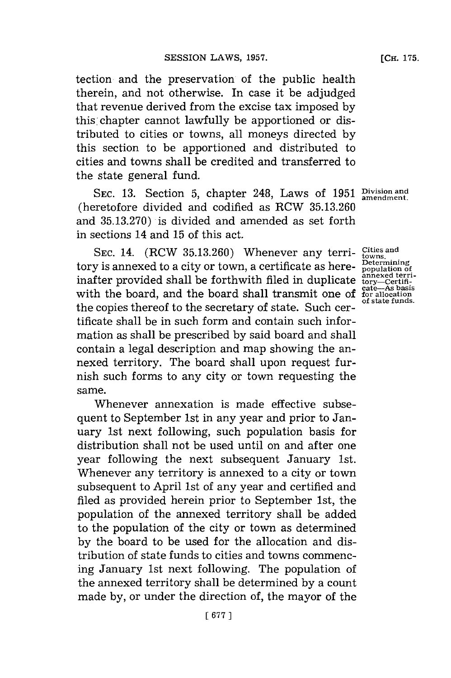tection and the preservation of the public health therein, and not otherwise. In case it be adjudged that revenue derived from the excise tax imposed **by** this chapter cannot lawfully be apportioned or distributed to cities or towns, all moneys directed **by** this section to be apportioned and distributed to cities and towns shall be credited and transferred to the state general fund.

SEC. 13. Section 5, chapter 248, Laws of 1951 **Division and** amendment. (heretofore divided and codified as RCW **35.13.260** and **35.13.270)** is divided and amended as set forth in sections 14 and **15** of this act.

SEC. 14. (RCW 35.13.260) Whenever any terri- Cities and tory is annexed to a city or town, a certificate as hereinafter provided shall be forthwith filed in duplicate with the board, and the board shall transmit one of the copies thereof to the secretary of state. Such certificate shall be in such form and contain such information as shall be prescribed **by** said board and shall contain a legal description and map showing the annexed territory. The board shall upon request furnish such forms to any city or town requesting the same.

Whenever annexation is made effective subsequent to September 1st in any year and prior to January 1st next following, such population basis for distribution shall not be used until on and after one year following the next subsequent January 1st. Whenever any territory is annexed to a city or town subsequent to April 1st of any year and certified and filed as provided herein prior to September 1st, the population of the annexed territory shall be added to the population of the city or town as determined **by** the board to be used for the allocation and distribution of state funds to cities and towns commencing January 1st next following. The population of the annexed territory shall be determined **by** a count made **by,** or under the direction of, the mayor of the

**Determining population of annexed terri-tory-Certifi-cate-As basis for allocation of state funds.**